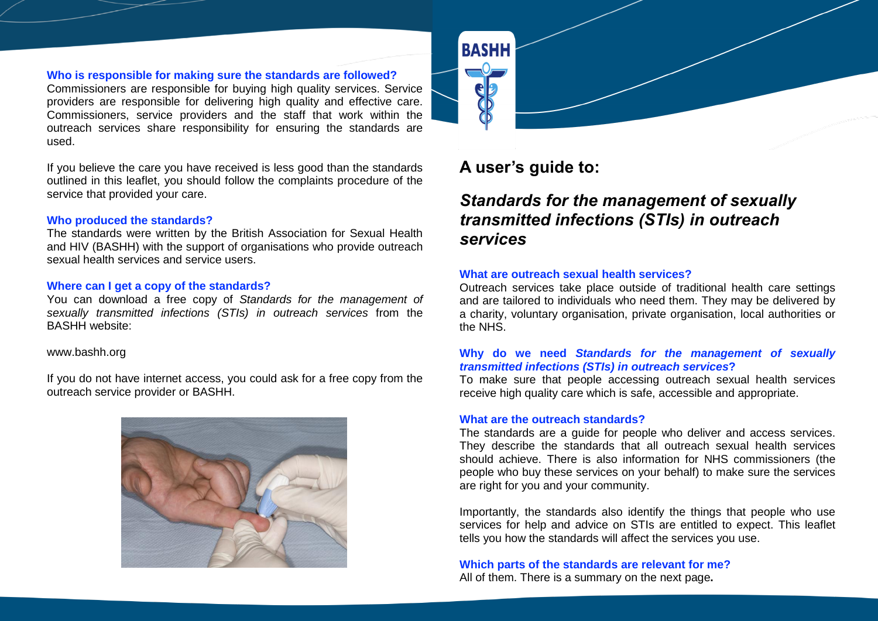#### **Who is responsible for making sure the standards are followed?**

Commissioners are responsible for buying high quality services. Service providers are responsible for delivering high quality and effective care. Commissioners, service providers and the staff that work within the outreach services share responsibility for ensuring the standards are used.

If you believe the care you have received is less good than the standards outlined in this leaflet, you should follow the complaints procedure of the service that provided your care.

#### **Who produced the standards?**

The standards were written by the British Association for Sexual Health and HIV (BASHH) with the support of organisations who provide outreach sexual health services and service users.

#### **Where can I get a copy of the standards?**

You can download a free copy of *Standards for the management of sexually transmitted infections (STIs) in outreach services* from the BASHH website:

#### www.bashh.org

If you do not have internet access, you could ask for a free copy from the outreach service provider or BASHH.





# **A user's guide to:**

# *Standards for the management of sexually transmitted infections (STIs) in outreach services*

#### **What are outreach sexual health services?**

Outreach services take place outside of traditional health care settings and are tailored to individuals who need them. They may be delivered by a charity, voluntary organisation, private organisation, local authorities or the NHS.

#### **Why do we need** *Standards for the management of sexually transmitted infections (STIs) in outreach services***?**

To make sure that people accessing outreach sexual health services receive high quality care which is safe, accessible and appropriate.

#### **What are the outreach standards?**

The standards are a guide for people who deliver and access services. They describe the standards that all outreach sexual health services should achieve. There is also information for NHS commissioners (the people who buy these services on your behalf) to make sure the services are right for you and your community.

Importantly, the standards also identify the things that people who use services for help and advice on STIs are entitled to expect. This leaflet tells you how the standards will affect the services you use.

**Which parts of the standards are relevant for me?** All of them. There is a summary on the next page**.**